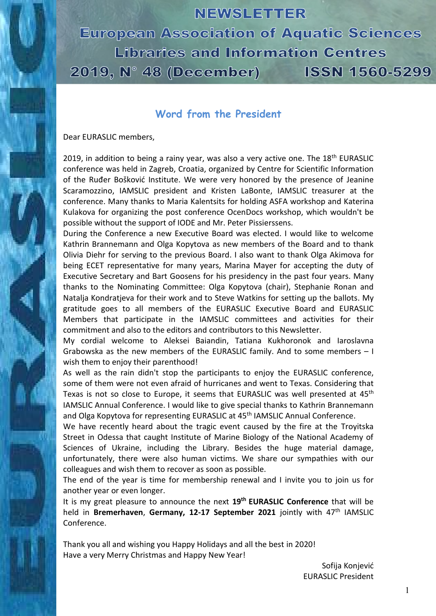# NEWSLETTER

**European Association of Aquatic Sciences** Libraries and Information Centres 2019, N° 48 (December) **ISSN 1560-5299** 

# **Word from the President**

Dear EURASLIC members,

2019, in addition to being a rainy year, was also a very active one. The  $18<sup>th</sup>$  EURASLIC conference was held in Zagreb, Croatia, organized by Centre for Scientific Information of the Ruđer Bošković Institute. We were very honored by the presence of Jeanine Scaramozzino, IAMSLIC president and Kristen LaBonte, IAMSLIC treasurer at the conference. Many thanks to Maria Kalentsits for holding ASFA workshop and Katerina Kulakova for organizing the post conference OcenDocs workshop, which wouldn't be possible without the support of IODE and Mr. Peter Pissierssens.

During the Conference a new Executive Board was elected. I would like to welcome Kathrin Brannemann and Olga Kopytova as new members of the Board and to thank Olivia Diehr for serving to the previous Board. I also want to thank Olga Akimova for being ECET representative for many years, Marina Mayer for accepting the duty of Executive Secretary and Bart Goosens for his presidency in the past four years. Many thanks to the Nominating Committee: Olga Kopytova (chair), Stephanie Ronan and Natalja Kondratjeva for their work and to Steve Watkins for setting up the ballots. My gratitude goes to all members of the EURASLIC Executive Board and EURASLIC Members that participate in the IAMSLIC committees and activities for their commitment and also to the editors and contributors to this Newsletter.

My cordial welcome to Aleksei Baiandin, Tatiana Kukhoronok and Iaroslavna Grabowska as the new members of the EURASLIC family. And to some members – I wish them to enjoy their parenthood!

As well as the rain didn't stop the participants to enjoy the EURASLIC conference, some of them were not even afraid of hurricanes and went to Texas. Considering that Texas is not so close to Europe, it seems that EURASLIC was well presented at 45<sup>th</sup> IAMSLIC Annual Conference. I would like to give special thanks to Kathrin Brannemann and Olga Kopytova for representing EURASLIC at 45<sup>th</sup> IAMSLIC Annual Conference.

We have recently heard about the tragic event caused by the fire at the Troyitska Street in Odessa that caught Institute of Marine Biology of the National Academy of Sciences of Ukraine, including the Library. Besides the huge material damage, unfortunately, there were also human victims. We share our sympathies with our colleagues and wish them to recover as soon as possible.

The end of the year is time for membership renewal and I invite you to join us for another year or even longer.

It is my great pleasure to announce the next **19th EURASLIC Conference** that will be held in **Bremerhaven**, **Germany, 12-17 September 2021** jointly with 47th IAMSLIC Conference.

Thank you all and wishing you Happy Holidays and all the best in 2020! Have a very Merry Christmas and Happy New Year!

> Sofija Konjević EURASLIC President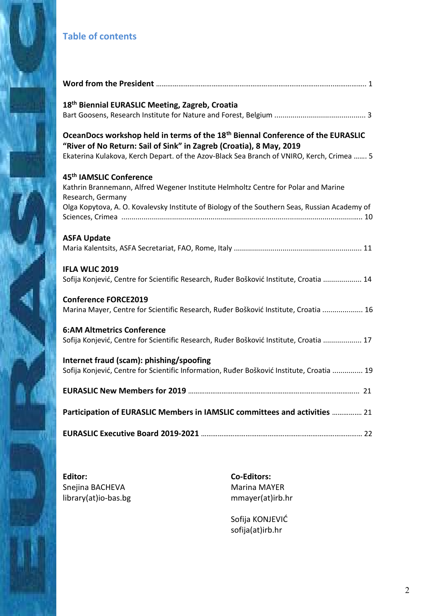# **Table of contents**

| 18 <sup>th</sup> Biennial EURASLIC Meeting, Zagreb, Croatia                                                                                                                                                                                                     |
|-----------------------------------------------------------------------------------------------------------------------------------------------------------------------------------------------------------------------------------------------------------------|
| OceanDocs workshop held in terms of the 18 <sup>th</sup> Biennal Conference of the EURASLIC<br>"River of No Return: Sail of Sink" in Zagreb (Croatia), 8 May, 2019<br>Ekaterina Kulakova, Kerch Depart. of the Azov-Black Sea Branch of VNIRO, Kerch, Crimea  5 |
| 45 <sup>th</sup> IAMSLIC Conference<br>Kathrin Brannemann, Alfred Wegener Institute Helmholtz Centre for Polar and Marine<br>Research, Germany<br>Olga Kopytova, A. O. Kovalevsky Institute of Biology of the Southern Seas, Russian Academy of                 |
| <b>ASFA Update</b>                                                                                                                                                                                                                                              |
| <b>IFLA WLIC 2019</b><br>Sofija Konjević, Centre for Scientific Research, Ruđer Bošković Institute, Croatia  14                                                                                                                                                 |
| <b>Conference FORCE2019</b><br>Marina Mayer, Centre for Scientific Research, Ruđer Bošković Institute, Croatia  16                                                                                                                                              |
| <b>6:AM Altmetrics Conference</b><br>Sofija Konjević, Centre for Scientific Research, Ruđer Bošković Institute, Croatia  17                                                                                                                                     |
| Internet fraud (scam): phishing/spoofing<br>Sofija Konjević, Centre for Scientific Information, Ruđer Bošković Institute, Croatia  19                                                                                                                           |
|                                                                                                                                                                                                                                                                 |
| Participation of EURASLIC Members in IAMSLIC committees and activities  21                                                                                                                                                                                      |
|                                                                                                                                                                                                                                                                 |

**Editor:**  Snejina BACHEVA library(at)io-bas.bg **Co-Editors:**  Marina MAYER mmayer(at)irb.hr

Sofija KONJEVIĆ sofija(at)irb.hr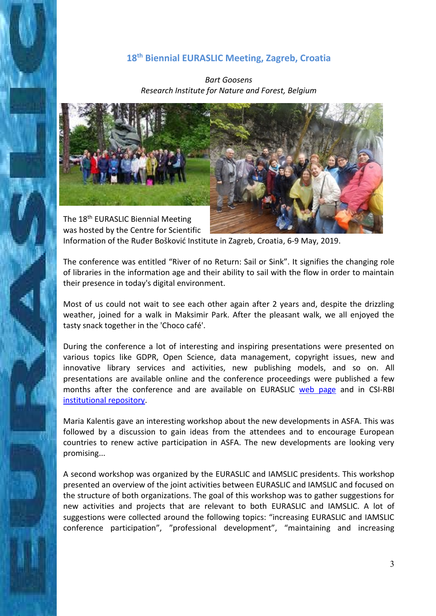### **18th Biennial EURASLIC Meeting, Zagreb, Croatia**

*Bart Goosens Research Institute for Nature and Forest, Belgium* 



was hosted by the Centre for Scientific Information of the Ruđer Bošković Institute in Zagreb, Croatia, 6-9 May, 2019.

The conference was entitled "River of no Return: Sail or Sink". It signifies the changing role of libraries in the information age and their ability to sail with the flow in order to maintain their presence in today's digital environment.

Most of us could not wait to see each other again after 2 years and, despite the drizzling weather, joined for a walk in Maksimir Park. After the pleasant walk, we all enjoyed the tasty snack together in the 'Choco café'.

During the conference a lot of interesting and inspiring presentations were presented on various topics like GDPR, Open Science, data management, copyright issues, new and innovative library services and activities, new publishing models, and so on. All presentations are available online and the conference proceedings were published a few months after the conference and are available on EURASLIC [web page](http://www.euraslic.org/proceedings) and in CSI-RBI [institutional repository.](http://fulir.irb.hr/4997/)

Maria Kalentis gave an interesting workshop about the new developments in ASFA. This was followed by a discussion to gain ideas from the attendees and to encourage European countries to renew active participation in ASFA. The new developments are looking very promising...

A second workshop was organized by the EURASLIC and IAMSLIC presidents. This workshop presented an overview of the joint activities between EURASLIC and IAMSLIC and focused on the structure of both organizations. The goal of this workshop was to gather suggestions for new activities and projects that are relevant to both EURASLIC and IAMSLIC. A lot of suggestions were collected around the following topics: "increasing EURASLIC and IAMSLIC conference participation", "professional development", "maintaining and increasing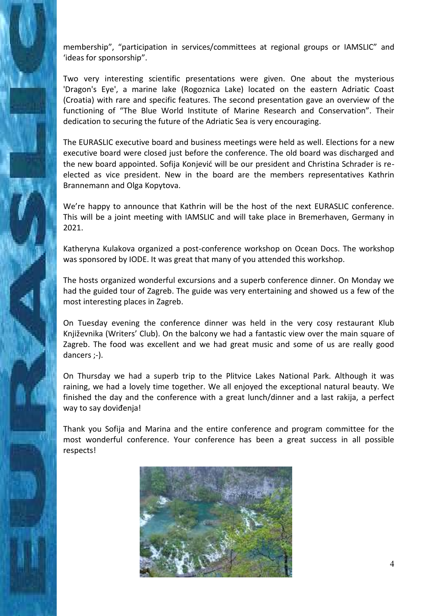membership", "participation in services/committees at regional groups or IAMSLIC" and 'ideas for sponsorship".

Two very interesting scientific presentations were given. One about the mysterious 'Dragon's Eye', a marine lake (Rogoznica Lake) located on the eastern Adriatic Coast (Croatia) with rare and specific features. The second presentation gave an overview of the functioning of "The Blue World Institute of Marine Research and Conservation". Their dedication to securing the future of the Adriatic Sea is very encouraging.

The EURASLIC executive board and business meetings were held as well. Elections for a new executive board were closed just before the conference. The old board was discharged and the new board appointed. Sofija Konjević will be our president and Christina Schrader is reelected as vice president. New in the board are the members representatives Kathrin Brannemann and Olga Kopytova.

We're happy to announce that Kathrin will be the host of the next EURASLIC conference. This will be a joint meeting with IAMSLIC and will take place in Bremerhaven, Germany in 2021.

Katheryna Kulakova organized a post-conference workshop on Ocean Docs. The workshop was sponsored by IODE. It was great that many of you attended this workshop.

The hosts organized wonderful excursions and a superb conference dinner. On Monday we had the guided tour of Zagreb. The guide was very entertaining and showed us a few of the most interesting places in Zagreb.

On Tuesday evening the conference dinner was held in the very cosy restaurant Klub Književnika (Writers' Club). On the balcony we had a fantastic view over the main square of Zagreb. The food was excellent and we had great music and some of us are really good dancers ;-).

On Thursday we had a superb trip to the Plitvice Lakes National Park. Although it was raining, we had a lovely time together. We all enjoyed the exceptional natural beauty. We finished the day and the conference with a great lunch/dinner and a last rakija, a perfect way to say doviđenja!

Thank you Sofija and Marina and the entire conference and program committee for the most wonderful conference. Your conference has been a great success in all possible respects!

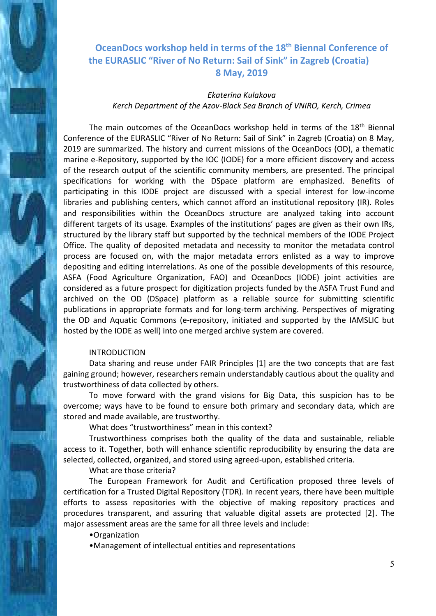# **OceanDocs workshop held in terms of the 18th Biennal Conference of the EURASLIC "River of No Return: Sail of Sink" in Zagreb (Croatia) 8 May, 2019**

### *Ekaterina Kulakova Kerch Department of the Azov-Black Sea Branch of VNIRO, Kerch, Crimea*

The main outcomes of the OceanDocs workshop held in terms of the 18<sup>th</sup> Biennal Conference of the EURASLIC "River of No Return: Sail of Sink" in Zagreb (Croatia) on 8 May, 2019 are summarized. The history and current missions of the OceanDocs (OD), a thematic marine e-Repository, supported by the IOC (IODE) for a more efficient discovery and access of the research output of the scientific community members, are presented. The principal specifications for working with the DSpace platform are emphasized. Benefits of participating in this IODE project are discussed with a special interest for low-income libraries and publishing centers, which cannot afford an institutional repository (IR). Roles and responsibilities within the OceanDocs structure are analyzed taking into account different targets of its usage. Examples of the institutions' pages are given as their own IRs, structured by the library staff but supported by the technical members of the IODE Project Office. The quality of deposited metadata and necessity to monitor the metadata control process are focused on, with the major metadata errors enlisted as a way to improve depositing and editing interrelations. As one of the possible developments of this resource, ASFA (Food Agriculture Organization, FAO) and OceanDocs (IODE) joint activities are considered as a future prospect for digitization projects funded by the ASFA Trust Fund and archived on the OD (DSpace) platform as a reliable source for submitting scientific publications in appropriate formats and for long-term archiving. Perspectives of migrating the OD and Aquatic Commons (e-repository, initiated and supported by the IAMSLIC but hosted by the IODE as well) into one merged archive system are covered.

#### INTRODUCTION

Data sharing and reuse under FAIR Principles [1] are the two concepts that are fast gaining ground; however, researchers remain understandably cautious about the quality and trustworthiness of data collected by others.

To move forward with the grand visions for Big Data, this suspicion has to be overcome; ways have to be found to ensure both primary and secondary data, which are stored and made available, are trustworthy.

What does "trustworthiness" mean in this context?

Trustworthiness comprises both the quality of the data and sustainable, reliable access to it. Together, both will enhance scientific reproducibility by ensuring the data are selected, collected, organized, and stored using agreed-upon, established criteria.

What are those criteria?

The European Framework for Audit and Certification proposed three levels of certification for a Trusted Digital Repository (TDR). In recent years, there have been multiple efforts to assess repositories with the objective of making repository practices and procedures transparent, and assuring that valuable digital assets are protected [2]. The major assessment areas are the same for all three levels and include:

•Organization

•Management of intellectual entities and representations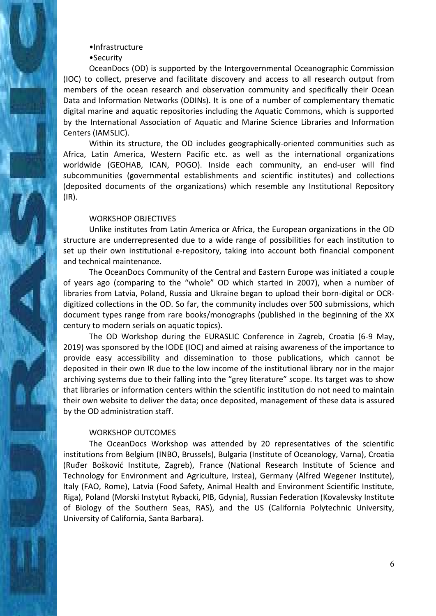#### •Infrastructure

#### •Security

OceanDocs (OD) is supported by the Intergovernmental Oceanographic Commission (IOC) to collect, preserve and facilitate discovery and access to all research output from members of the ocean research and observation community and specifically their Ocean Data and Information Networks (ODINs). It is one of a number of complementary thematic digital marine and aquatic repositories including the Aquatic Commons, which is supported by the International Association of Aquatic and Marine Science Libraries and Information Centers (IAMSLIC).

Within its structure, the OD includes geographically-oriented communities such as Africa, Latin America, Western Pacific etc. as well as the international organizations worldwide (GEOHAB, ICAN, POGO). Inside each community, an end-user will find subcommunities (governmental establishments and scientific institutes) and collections (deposited documents of the organizations) which resemble any Institutional Repository (IR).

#### WORKSHOP OBJECTIVES

Unlike institutes from Latin America or Africa, the European organizations in the OD structure are underrepresented due to a wide range of possibilities for each institution to set up their own institutional e-repository, taking into account both financial component and technical maintenance.

The OceanDocs Community of the Central and Eastern Europe was initiated a couple of years ago (comparing to the "whole" OD which started in 2007), when a number of libraries from Latvia, Poland, Russia and Ukraine began to upload their born-digital or OCRdigitized collections in the OD. So far, the community includes over 500 submissions, which document types range from rare books/monographs (published in the beginning of the XX century to modern serials on aquatic topics).

The OD Workshop during the EURASLIC Conference in Zagreb, Croatia (6-9 May, 2019) was sponsored by the IODE (IOC) and aimed at raising awareness of the importance to provide easy accessibility and dissemination to those publications, which cannot be deposited in their own IR due to the low income of the institutional library nor in the major archiving systems due to their falling into the "grey literature" scope. Its target was to show that libraries or information centers within the scientific institution do not need to maintain their own website to deliver the data; once deposited, management of these data is assured by the OD administration staff.

#### WORKSHOP OUTCOMES

The OceanDocs Workshop was attended by 20 representatives of the scientific institutions from Belgium (INBO, Brussels), Bulgaria (Institute of Oceanology, Varna), Croatia (Ruđer Bošković Institute, Zagreb), France (National Research Institute of Science and Technology for Environment and Agriculture, Irstea), Germany (Alfred Wegener Institute), Italy (FAO, Rome), Latvia (Food Safety, Animal Health and Environment Scientific Institute, Riga), Poland (Morski Instytut Rybacki, PIB, Gdynia), Russian Federation (Kovalevsky Institute of Biology of the Southern Seas, RAS), and the US (California Polytechnic University, University of California, Santa Barbara).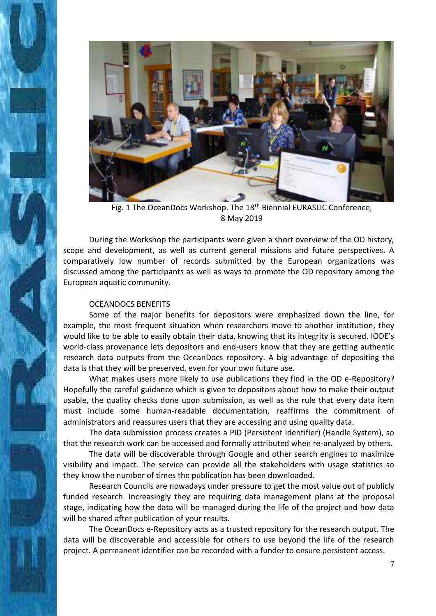

Fig. 1 The OceanDocs Workshop. The 18<sup>th</sup> Biennial EURASLIC Conference. 8 May 2019

During the Workshop the participants were given a short overview of the OD history, scope and development, as well as current general missions and future perspectives. A comparatively low number of records submitted by the European organizations was discussed among the participants as well as ways to promote the OD repository among the European aquatic community.

#### OCEANDOCS BENEFITS

Some of the major benefits for depositors were emphasized down the line, for example, the most frequent situation when researchers move to another institution, they would like to be able to easily obtain their data, knowing that its integrity is secured. IODE's world-class provenance lets depositors and end-users know that they are getting authentic research data outputs from the OceanDocs repository. A big advantage of depositing the data is that they will be preserved, even for your own future use.

What makes users more likely to use publications they find in the OD e-Repository? Hopefully the careful guidance which is given to depositors about how to make their output usable, the quality checks done upon submission, as well as the rule that every data item must include some human-readable documentation, reaffirms the commitment of administrators and reassures users that they are accessing and using quality data.

The data submission process creates a PID (Persistent Identifier) (Handle System), so that the research work can be accessed and formally attributed when re-analyzed by others.

The data will be discoverable through Google and other search engines to maximize visibility and impact. The service can provide all the stakeholders with usage statistics so they know the number of times the publication has been downloaded.

Research Councils are nowadays under pressure to get the most value out of publicly funded research. Increasingly they are requiring data management plans at the proposal stage, indicating how the data will be managed during the life of the project and how data will be shared after publication of your results.

The OceanDocs e-Repository acts as a trusted repository for the research output. The data will be discoverable and accessible for others to use beyond the life of the research project. A permanent identifier can be recorded with a funder to ensure persistent access.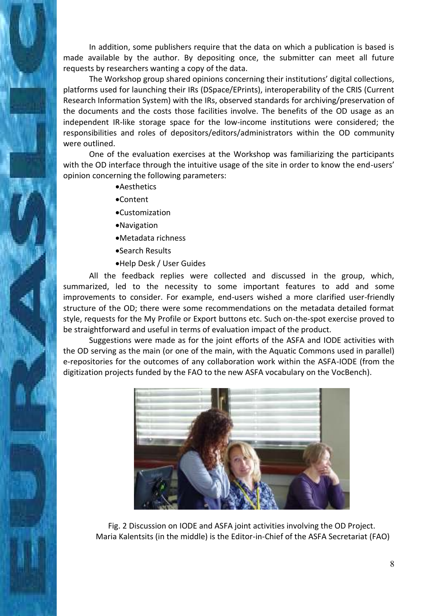In addition, some publishers require that the data on which a publication is based is made available by the author. By depositing once, the submitter can meet all future requests by researchers wanting a copy of the data.

The Workshop group shared opinions concerning their institutions' digital collections, platforms used for launching their IRs (DSpace/EPrints), interoperability of the CRIS (Current Research Information System) with the IRs, observed standards for archiving/preservation of the documents and the costs those facilities involve. The benefits of the OD usage as an independent IR-like storage space for the low-income institutions were considered; the responsibilities and roles of depositors/editors/administrators within the OD community were outlined.

One of the evaluation exercises at the Workshop was familiarizing the participants with the OD interface through the intuitive usage of the site in order to know the end-users' opinion concerning the following parameters:

- **•**Aesthetics
- Content
- Customization
- Navigation
- Metadata richness
- Search Results
- Help Desk / User Guides

All the feedback replies were collected and discussed in the group, which, summarized, led to the necessity to some important features to add and some improvements to consider. For example, end-users wished a more clarified user-friendly structure of the OD; there were some recommendations on the metadata detailed format style, requests for the My Profile or Export buttons etc. Such on-the-spot exercise proved to be straightforward and useful in terms of evaluation impact of the product.

Suggestions were made as for the joint efforts of the ASFA and IODE activities with the OD serving as the main (or one of the main, with the Aquatic Commons used in parallel) e-repositories for the outcomes of any collaboration work within the ASFA-IODE (from the digitization projects funded by the FAO to the new ASFA vocabulary on the VocBench).



Fig. 2 Discussion on IODE and ASFA joint activities involving the OD Project. Maria Kalentsits (in the middle) is the Editor-in-Chief of the ASFA Secretariat (FAO)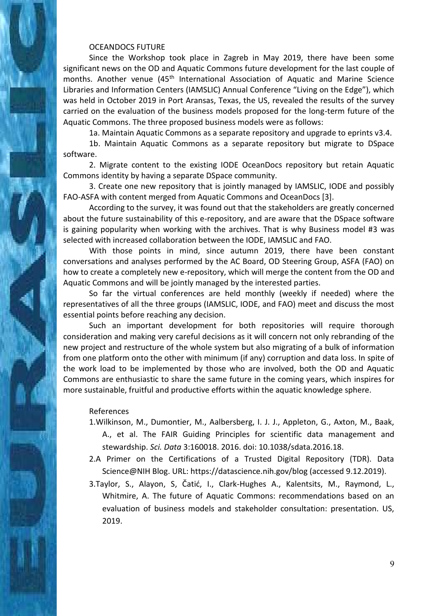#### OCEANDOCS FUTURE

Since the Workshop took place in Zagreb in May 2019, there have been some significant news on the OD and Aquatic Commons future development for the last couple of months. Another venue (45<sup>th</sup> International Association of Aquatic and Marine Science Libraries and Information Centers (IAMSLIC) Annual Conference "Living on the Edge"), which was held in October 2019 in Port Aransas, Texas, the US, revealed the results of the survey carried on the evaluation of the business models proposed for the long-term future of the Aquatic Commons. The three proposed business models were as follows:

1a. Maintain Aquatic Commons as a separate repository and upgrade to eprints v3.4.

1b. Maintain Aquatic Commons as a separate repository but migrate to DSpace software.

2. Migrate content to the existing IODE OceanDocs repository but retain Aquatic Commons identity by having a separate DSpace community.

3. Create one new repository that is jointly managed by IAMSLIC, IODE and possibly FAO-ASFA with content merged from Aquatic Commons and OceanDocs [3].

According to the survey, it was found out that the stakeholders are greatly concerned about the future sustainability of this e-repository, and are aware that the DSpace software is gaining popularity when working with the archives. That is why Business model #3 was selected with increased collaboration between the IODE, IAMSLIC and FAO.

With those points in mind, since autumn 2019, there have been constant conversations and analyses performed by the AC Board, OD Steering Group, ASFA (FAO) on how to create a completely new e-repository, which will merge the content from the OD and Aquatic Commons and will be jointly managed by the interested parties.

So far the virtual conferences are held monthly (weekly if needed) where the representatives of all the three groups (IAMSLIC, IODE, and FAO) meet and discuss the most essential points before reaching any decision.

Such an important development for both repositories will require thorough consideration and making very careful decisions as it will concern not only rebranding of the new project and restructure of the whole system but also migrating of a bulk of information from one platform onto the other with minimum (if any) corruption and data loss. In spite of the work load to be implemented by those who are involved, both the OD and Aquatic Commons are enthusiastic to share the same future in the coming years, which inspires for more sustainable, fruitful and productive efforts within the aquatic knowledge sphere.

#### References

- 1.Wilkinson, M., Dumontier, M., Aalbersberg, I. J. J., Appleton, G., Axton, M., Baak, A., et al. The FAIR Guiding Principles for scientific data management and stewardship. *Sci. Data* 3:160018. 2016. doi: 10.1038/sdata.2016.18.
- 2.A Primer on the Certifications of a Trusted Digital Repository (TDR). Data Science@NIH Blog. URL: https://datascience.nih.gov/blog (accessed 9.12.2019).
- 3.Taylor, S., Alayon, S, Čatić, I., Clark-Hughes A., Kalentsits, M., Raymond, L., Whitmire, A. The future of Aquatic Commons: recommendations based on an evaluation of business models and stakeholder consultation: presentation. US, 2019.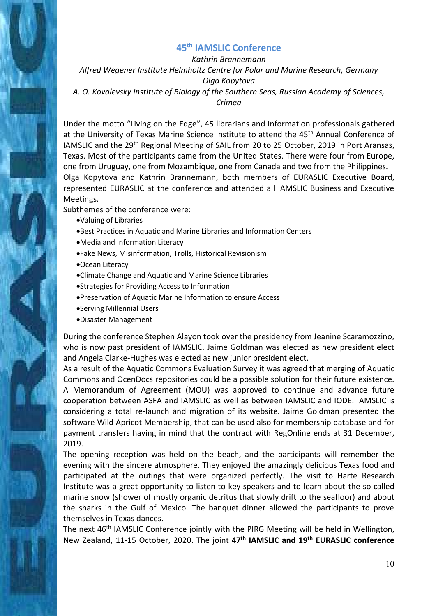### **45th [IAMSLIC Conference](https://www.iamslic.org/conf2019/)**

*Kathrin Brannemann Alfred Wegener Institute Helmholtz Centre for Polar and Marine Research, Germany Olga Kopytova A. O. Kovalevsky Institute of Biology of the Southern Seas, Russian Academy of Sciences, Crimea* 

Under the motto "Living on the Edge", 45 librarians and Information professionals gathered at the University of Texas Marine Science Institute to attend the 45<sup>th</sup> Annual Conference of IAMSLIC and the 29<sup>th</sup> Regional Meeting of SAIL from 20 to 25 October, 2019 in Port Aransas, Texas. Most of the participants came from the United States. There were four from Europe, one from Uruguay, one from Mozambique, one from Canada and two from the Philippines. Olga Kopytova and Kathrin Brannemann, both members of EURASLIC Executive Board, represented EURASLIC at the conference and attended all IAMSLIC Business and Executive Meetings.

Subthemes of the conference were:

- Valuing of Libraries
- Best Practices in Aquatic and Marine Libraries and Information Centers
- Media and Information Literacy
- Fake News, Misinformation, Trolls, Historical Revisionism
- Ocean Literacy
- Climate Change and Aquatic and Marine Science Libraries
- Strategies for Providing Access to Information
- Preservation of Aquatic Marine Information to ensure Access
- Serving Millennial Users
- Disaster Management

During the conference Stephen Alayon took over the presidency from Jeanine Scaramozzino, who is now past president of IAMSLIC. Jaime Goldman was elected as new president elect and Angela Clarke-Hughes was elected as new junior president elect.

As a result of the Aquatic Commons Evaluation Survey it was agreed that merging of Aquatic Commons and OcenDocs repositories could be a possible solution for their future existence. A Memorandum of Agreement (MOU) was approved to continue and advance future cooperation between ASFA and IAMSLIC as well as between IAMSLIC and IODE. IAMSLIC is considering a total re-launch and migration of its website. Jaime Goldman presented the software Wild Apricot Membership, that can be used also for membership database and for payment transfers having in mind that the contract with RegOnline ends at 31 December, 2019.

The opening reception was held on the beach, and the participants will remember the evening with the sincere atmosphere. They enjoyed the amazingly delicious Texas food and participated at the outings that were organized perfectly. The visit to Harte Research Institute was a great opportunity to listen to key speakers and to learn about the so called marine snow (shower of mostly organic detritus that slowly drift to the seafloor) and about the sharks in the Gulf of Mexico. The banquet dinner allowed the participants to prove themselves in Texas dances.

The next 46<sup>th</sup> IAMSLIC Conference jointly with the PIRG Meeting will be held in Wellington, New Zealand, 11-15 October, 2020. The joint **47th IAMSLIC and 19th EURASLIC conference**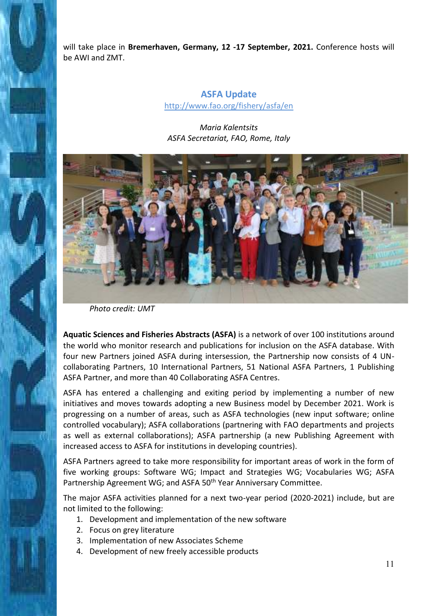will take place in **Bremerhaven, Germany, 12 -17 September, 2021.** Conference hosts will be AWI and ZMT.

### **ASFA Update**  <http://www.fao.org/fishery/asfa/en>

### *Maria Kalentsits ASFA Secretariat, FAO, Rome, Italy*



*Photo credit: UMT* 

**Aquatic Sciences and Fisheries Abstracts (ASFA)** is a network of over 100 institutions around the world who monitor research and publications for inclusion on the ASFA database. With four new Partners joined ASFA during intersession, the Partnership now consists of 4 UNcollaborating Partners, 10 International Partners, 51 National ASFA Partners, 1 Publishing ASFA Partner, and more than 40 Collaborating ASFA Centres.

ASFA has entered a challenging and exiting period by implementing a number of new initiatives and moves towards adopting a new Business model by December 2021. Work is progressing on a number of areas, such as ASFA technologies (new input software; online controlled vocabulary); ASFA collaborations (partnering with FAO departments and projects as well as external collaborations); ASFA partnership (a new Publishing Agreement with increased access to ASFA for institutions in developing countries).

ASFA Partners agreed to take more responsibility for important areas of work in the form of five working groups: Software WG; Impact and Strategies WG; Vocabularies WG; ASFA Partnership Agreement WG; and ASFA 50<sup>th</sup> Year Anniversary Committee.

The major ASFA activities planned for a next two-year period (2020-2021) include, but are not limited to the following:

- 1. Development and implementation of the new software
- 2. Focus on grey literature
- 3. Implementation of new Associates Scheme
- 4. Development of new freely accessible products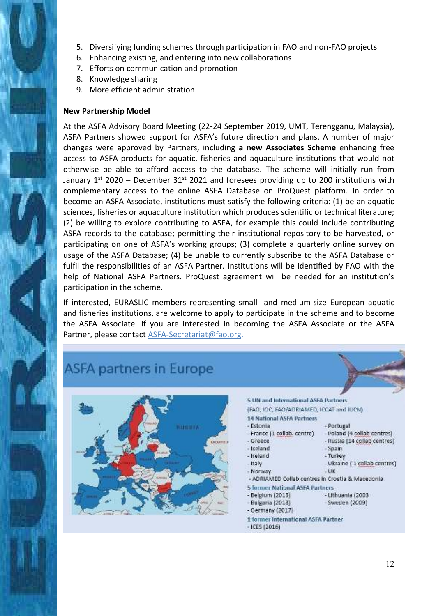- 5. Diversifying funding schemes through participation in FAO and non-FAO projects
- 6. Enhancing existing, and entering into new collaborations
- 7. Efforts on communication and promotion
- 8. Knowledge sharing
- 9. More efficient administration

### **New Partnership Model**

At the ASFA Advisory Board Meeting (22-24 September 2019, UMT, Terengganu, Malaysia), ASFA Partners showed support for ASFA's future direction and plans. A number of major changes were approved by Partners, including **a new Associates Scheme** enhancing free access to ASFA products for aquatic, fisheries and aquaculture institutions that would not otherwise be able to afford access to the database. The scheme will initially run from January  $1^{st}$  2020 – December 31<sup>st</sup> 2021 and foresees providing up to 200 institutions with complementary access to the online ASFA Database on ProQuest platform. In order to become an ASFA Associate, institutions must satisfy the following criteria: (1) be an aquatic sciences, fisheries or aquaculture institution which produces scientific or technical literature; (2) be willing to explore contributing to ASFA, for example this could include contributing ASFA records to the database; permitting their institutional repository to be harvested, or participating on one of ASFA's working groups; (3) complete a quarterly online survey on usage of the ASFA Database; (4) be unable to currently subscribe to the ASFA Database or fulfil the responsibilities of an ASFA Partner. Institutions will be identified by FAO with the help of National ASFA Partners. ProQuest agreement will be needed for an institution's participation in the scheme.

If interested, EURASLIC members representing small- and medium-size European aquatic and fisheries institutions, are welcome to apply to participate in the scheme and to become the ASFA Associate. If you are interested in becoming the ASFA Associate or the ASFA Partner, please contact [ASFA-Secretariat@fao.org.](mailto:ASFA-Secretariat@fao.org)

# **ASFA partners in Europe**



**S UN and International ASFA Partners** 

(FAO, IOC, FAO/ADRIAMED, ICCAT and IUCN)

- Portugal

 $-$ Spain

- Turkey

- Lithuania (2003)

- Sweden (2009)

 $-13K$ 

- Poland (4 collab centres)

- Russia (14 collab centres)

- Ukraine (1 collab centres)

- 14 National ASFA Partners
- Estonia
- France (1 collab. centre) - Greece
- treland
- Ireland
- Italy
- Norway
- ADRIAMED Collab centres in Croatia & Macedonia
- **5 former National ASFA Partners**
- Belgium (2015)
- Bulgaria (2018)
- Germany (2017)
- 1 former International ASFA Partner
- $-ICES(2016)$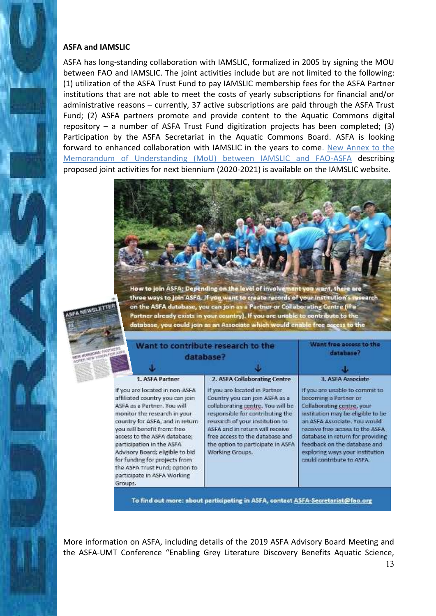#### **ASFA and IAMSLIC**

NEWSLETTE

If yo affili ASFA mon cour you acce part Advi for f the i part Grou

ASFA has long-standing collaboration with IAMSLIC, formalized in 2005 by signing the MOU between FAO and IAMSLIC. The joint activities include but are not limited to the following: (1) utilization of the ASFA Trust Fund to pay IAMSLIC membership fees for the ASFA Partner institutions that are not able to meet the costs of yearly subscriptions for financial and/or administrative reasons – currently, 37 active subscriptions are paid through the ASFA Trust Fund; (2) ASFA partners promote and provide content to the Aquatic Commons digital repository – a number of ASFA Trust Fund digitization projects has been completed; (3) Participation by the ASFA Secretariat in the Aquatic Commons Board. ASFA is looking forward to enhanced collaboration with IAMSLIC in the years to come. [New Annex to the](https://www.iamslic.org/wp-content/uploads/2019/12/FAO-IAMSLIC-MOU-Annex-7-2020-2021-final.pdf)  [Memorandum of Understanding \(MoU\) between IAMSLIC and FAO-ASFA](https://www.iamslic.org/wp-content/uploads/2019/12/FAO-IAMSLIC-MOU-Annex-7-2020-2021-final.pdf) describing proposed joint activities for next biennium (2020-2021) is available on the IAMSLIC website.



How to join ASFA; Depending on the level of involvement you want, there are three ways to join ASFA. If you want to create records of your institution's research on the ASFA database, you can join as a Partner or Collaborating Centre (if a Partner already exists in your country). If you are unable to contribute to the database, you could join as an Associate which would enable free access to the

| Want to contribute research to the<br>database?                                                                                                                                                                                                                                                                                                                                       |                                                                                                                                                                                                                                                                                                                                           | Want free access to the<br>database?                                                                                                                                                                                                                                                                                                                   |
|---------------------------------------------------------------------------------------------------------------------------------------------------------------------------------------------------------------------------------------------------------------------------------------------------------------------------------------------------------------------------------------|-------------------------------------------------------------------------------------------------------------------------------------------------------------------------------------------------------------------------------------------------------------------------------------------------------------------------------------------|--------------------------------------------------------------------------------------------------------------------------------------------------------------------------------------------------------------------------------------------------------------------------------------------------------------------------------------------------------|
|                                                                                                                                                                                                                                                                                                                                                                                       |                                                                                                                                                                                                                                                                                                                                           | л.                                                                                                                                                                                                                                                                                                                                                     |
| 1. ASFA Partner<br>u are located in non-ASFA<br>ated country you can join<br>Las a Partner, You will<br>itor the research in your<br>itry for ASFA, and in return<br>will benefit from: free-<br>ss to the ASFA database;<br>icipation in the ASFA<br>sory Board; eligible to bid<br>unding for projects from<br><b>ASFA Trust Fund; option to</b><br>icipate in ASFA Working<br>IDS. | 2. ASFA Collaborating Centre<br>If you are located in Partner<br>Country you can join ASFA as a<br>collaborating centre. You will be<br>responsible for contributing the<br>research of your institution to<br>ASFA and in return will receive<br>free access to the database and<br>the option to participate in ASFA<br>Working Groups. | 3. ASEA Associate<br>If you are unable to commit to<br>becoming a Partner or<br>Collaborating centre, your<br>institution may be eligible to be<br>an ASFA Associate, You would<br>receive free access to the ASFA<br>database in return for providing<br>feedback on the database and<br>exploring ways your institution<br>could contribute to ASFA. |

To find out more: about participating in ASFA, contact ASFA-Secretarist@fao.org

More information on ASFA, including details of the 2019 ASFA Advisory Board Meeting and the ASFA-UMT Conference "Enabling Grey Literature Discovery Benefits Aquatic Science,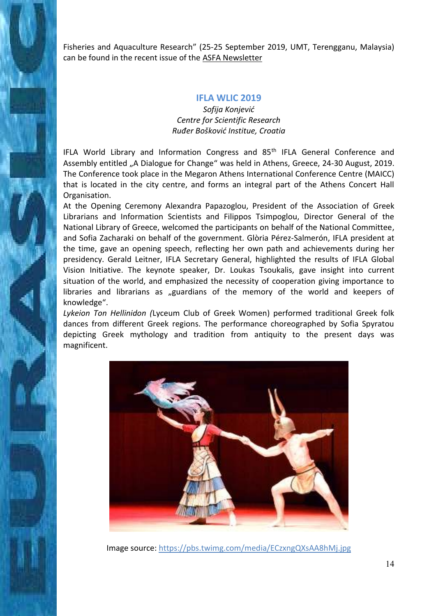Fisheries and Aquaculture Research" (25-25 September 2019, UMT, Terengganu, Malaysia) can be found in the recent issue of the [ASFA Newsletter](https://digitalarchive.worldfishcenter.org/handle/20.500.12348/3819) 

#### **IFLA WLIC 2019**

*Sofija Konjević Centre for Scientific Research Ruđer Bošković Institue, Croatia* 

IFLA World Library and Information Congress and 85<sup>th</sup> IFLA General Conference and Assembly entitled "A Dialogue for Change" was held in Athens, Greece, 24-30 August, 2019. The Conference took place in the Megaron Athens International Conference Centre (MAICC) that is located in the city centre, and forms an integral part of the Athens Concert Hall Organisation.

At the Opening Ceremony Alexandra Papazoglou, President of the Association of Greek Librarians and Information Scientists and Filippos Tsimpoglou, Director General of the National Library of Greece, welcomed the participants on behalf of the National Committee, and Sofia Zacharaki on behalf of the government. Glòria Pérez-Salmerón, IFLA president at the time, gave an opening speech, reflecting her own path and achievements during her presidency. Gerald Leitner, IFLA Secretary General, highlighted the results of IFLA Global Vision Initiative. The keynote speaker, Dr. Loukas Tsoukalis, gave insight into current situation of the world, and emphasized the necessity of cooperation giving importance to libraries and librarians as "guardians of the memory of the world and keepers of knowledge".

*Lykeion Ton Hellinidon (*Lyceum Club of Greek Women) performed traditional Greek folk dances from different Greek regions. The performance choreographed by Sofia Spyratou depicting Greek mythology and tradition from antiquity to the present days was magnificent.



Image source[: https://pbs.twimg.com/media/ECzxngQXsAA8hMj.jpg](https://pbs.twimg.com/media/ECzxngQXsAA8hMj.jpg)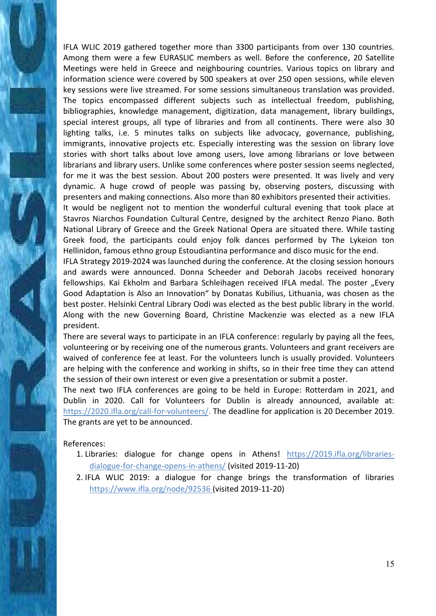IFLA WLIC 2019 gathered together more than 3300 participants from over 130 countries. Among them were a few EURASLIC members as well. Before the conference, 20 Satellite Meetings were held in Greece and neighbouring countries. Various topics on library and information science were covered by 500 speakers at over 250 open sessions, while eleven key sessions were live streamed. For some sessions simultaneous translation was provided. The topics encompassed different subjects such as intellectual freedom, publishing, bibliographies, knowledge management, digitization, data management, library buildings, special interest groups, all type of libraries and from all continents. There were also 30 lighting talks, i.e. 5 minutes talks on subjects like advocacy, governance, publishing, immigrants, innovative projects etc. Especially interesting was the session on library love stories with short talks about love among users, love among librarians or love between librarians and library users. Unlike some conferences where poster session seems neglected, for me it was the best session. About 200 posters were presented. It was lively and very dynamic. A huge crowd of people was passing by, observing posters, discussing with presenters and making connections. Also more than 80 exhibitors presented their activities.

It would be negligent not to mention the wonderful cultural evening that took place at Stavros Niarchos Foundation Cultural Centre, designed by the architect Renzo Piano. Both National Library of Greece and the Greek National Opera are situated there. While tasting Greek food, the participants could enjoy folk dances performed by The Lykeion ton Hellinidon, famous ethno group Estoudiantina performance and disco music for the end.

IFLA Strategy 2019-2024 was launched during the conference. At the closing session honours and awards were announced. Donna Scheeder and Deborah Jacobs received honorary fellowships. Kai Ekholm and Barbara Schleihagen received IFLA medal. The poster "Every Good Adaptation is Also an Innovation" by Donatas Kubilius, Lithuania, was chosen as the best poster. Helsinki Central Library Oodi was elected as the best public library in the world. Along with the new Governing Board, Christine Mackenzie was elected as a new IFLA president.

There are several ways to participate in an IFLA conference: regularly by paying all the fees, volunteering or by receiving one of the numerous grants. Volunteers and grant receivers are waived of conference fee at least. For the volunteers lunch is usually provided. Volunteers are helping with the conference and working in shifts, so in their free time they can attend the session of their own interest or even give a presentation or submit a poster.

The next two IFLA conferences are going to be held in Europe: Rotterdam in 2021, and Dublin in 2020. Call for Volunteers for Dublin is already announced, available at: [https://2020.ifla.org/call-for-volunteers/.](https://2020.ifla.org/call-for-volunteers/) The deadline for application is 20 December 2019. The grants are yet to be announced.

### References:

- 1. Libraries: dialogue for change opens in Athens! [https://2019.ifla.org/libraries](https://2019.ifla.org/libraries-dialogue-for-change-opens-in-athens/)[dialogue-for-change-opens-in-athens/](https://2019.ifla.org/libraries-dialogue-for-change-opens-in-athens/) (visited 2019-11-20)
- 2. IFLA WLIC 2019: a dialogue for change brings the transformation of libraries <https://www.ifla.org/node/92536> (visited 2019-11-20)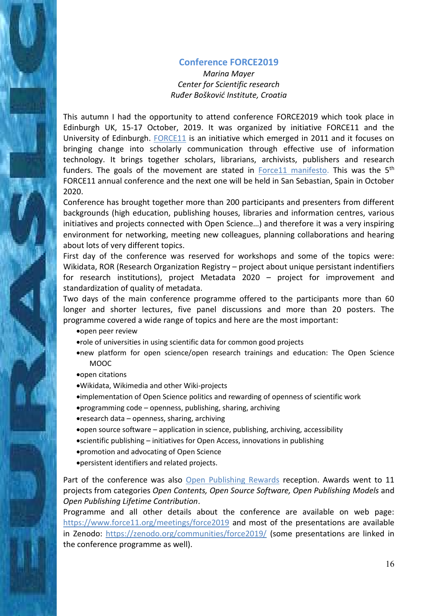### **Conference FORCE2019**

*Marina Mayer Center for Scientific research Ruđer Bošković Institute, Croatia* 

This autumn I had the opportunity to attend conference FORCE2019 which took place in Edinburgh UK, 15-17 October, 2019. It was organized by initiative FORCE11 and the University of Edinburgh. [FORCE11](https://www.force11.org/) is an initiative which emerged in 2011 and it focuses on bringing change into scholarly communication through effective use of information technology. It brings together scholars, librarians, archivists, publishers and research funders. The goals of the movement are stated in  $Force11$  manifesto. This was the  $5<sup>th</sup>$ FORCE11 annual conference and the next one will be held in San Sebastian, Spain in October 2020.

Conference has brought together more than 200 participants and presenters from different backgrounds (high education, publishing houses, libraries and information centres, various initiatives and projects connected with Open Science…) and therefore it was a very inspiring environment for networking, meeting new colleagues, planning collaborations and hearing about lots of very different topics.

First day of the conference was reserved for workshops and some of the topics were: Wikidata, ROR (Research Organization Registry – project about unique persistant indentifiers for research institutions), project Metadata 2020 – project for improvement and standardization of quality of metadata.

Two days of the main conference programme offered to the participants more than 60 longer and shorter lectures, five panel discussions and more than 20 posters. The programme covered a wide range of topics and here are the most important:

open peer review

- role of universities in using scientific data for common good projects
- new platform for open science/open research trainings and education: The Open Science MOOC
- open citations
- Wikidata, Wikimedia and other Wiki-projects
- implementation of Open Science politics and rewarding of openness of scientific work
- programming code openness, publishing, sharing, archiving
- research data openness, sharing, archiving
- open source software application in science, publishing, archiving, accessibility
- scientific publishing initiatives for Open Access, innovations in publishing
- promotion and advocating of Open Science
- persistent identifiers and related projects.

Part of the conference was also [Open Publishing Rewards](https://openpublishingawards.org/) reception. Awards went to 11 projects from categories *Open Contents, Open Source Software, Open Publishing Models* and *Open Publishing Lifetime Contribution*.

Programme and all other details about the conference are available on web page: <https://www.force11.org/meetings/force2019> and most of the presentations are available in Zenodo:<https://zenodo.org/communities/force2019/>(some presentations are linked in the conference programme as well).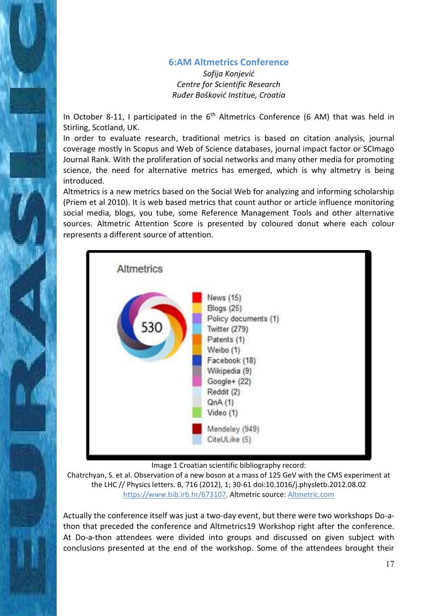### **[6:AM Altmetrics Conference](http://www.altmetricsconference.com/)**

*Sofija Konjević Centre for Scientific Research Ruđer Bošković Institue, Croatia* 

In October 8-11, I participated in the  $6<sup>th</sup>$  Altmetrics Conference (6 AM) that was held in Stirling, Scotland, UK.

In order to evaluate research, traditional metrics is based on citation analysis, journal coverage mostly in Scopus and Web of Science databases, journal impact factor or SCImago Journal Rank. With the proliferation of social networks and many other media for promoting science, the need for alternative metrics has emerged, which is why altmetry is being introduced.

Altmetrics is a new metrics based on the Social Web for analyzing and informing scholarship (Priem et al 2010). It is web based metrics that count author or article influence monitoring social media, blogs, you tube, some Reference Management Tools and other alternative sources. Altmetric Attention Score is presented by coloured donut where each colour represents a different source of attention.



Image 1 Croatian scientific bibliography record:

Chatrchyan, S. et al. Observation of a new boson at a mass of 125 GeV with the CMS experiment at the LHC // Physics letters. B, 716 (2012), 1; 30-61 doi:10.1016/j.physletb.2012.08.02 [https://www.bib.irb.hr/673107,](https://www.bib.irb.hr/673107) Altmetric source: [Altmetric.com](file:///D:/moji%20dokumenti/altmetrics/Altmetric.com)

Actually the conference itself was just a two-day event, but there were two workshops Do-athon that preceded the conference and Altmetrics19 Workshop right after the conference. At Do-a-thon attendees were divided into groups and discussed on given subject with conclusions presented at the end of the workshop. Some of the attendees brought their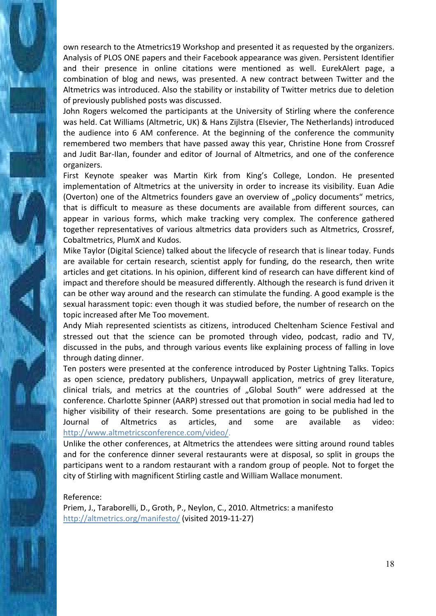own research to the Atmetrics19 Workshop and presented it as requested by the organizers. Analysis of PLOS ONE papers and their Facebook appearance was given. Persistent Identifier and their presence in online citations were mentioned as well. EurekAlert page, a combination of blog and news, was presented. A new contract between Twitter and the Altmetrics was introduced. Also the stability or instability of Twitter metrics due to deletion of previously published posts was discussed.

John Rogers welcomed the participants at the University of Stirling where the conference was held. Cat Williams (Altmetric, UK) & Hans Zijlstra (Elsevier, The Netherlands) introduced the audience into 6 AM conference. At the beginning of the conference the community remembered two members that have passed away this year, Christine Hone from Crossref and Judit Bar-Ilan, founder and editor of Journal of Altmetrics, and one of the conference organizers.

First Keynote speaker was Martin Kirk from King's College, London. He presented implementation of Altmetrics at the university in order to increase its visibility. Euan Adie (Overton) one of the Altmetrics founders gave an overview of "policy documents" metrics, that is difficult to measure as these documents are available from different sources, can appear in various forms, which make tracking very complex. The conference gathered together representatives of various altmetrics data providers such as Altmetrics, Crossref, Cobaltmetrics, PlumX and Kudos.

Mike Taylor (Digital Science) talked about the lifecycle of research that is linear today. Funds are available for certain research, scientist apply for funding, do the research, then write articles and get citations. In his opinion, different kind of research can have different kind of impact and therefore should be measured differently. Although the research is fund driven it can be other way around and the research can stimulate the funding. A good example is the sexual harassment topic: even though it was studied before, the number of research on the topic increased after Me Too movement.

Andy Miah represented scientists as citizens, introduced Cheltenham Science Festival and stressed out that the science can be promoted through video, podcast, radio and TV, discussed in the pubs, and through various events like explaining process of falling in love through dating dinner.

Ten posters were presented at the conference introduced by Poster Lightning Talks. Topics as open science, predatory publishers, Unpaywall application, metrics of grey literature, clinical trials, and metrics at the countries of "Global South" were addressed at the conference. Charlotte Spinner (AARP) stressed out that promotion in social media had led to higher visibility of their research. Some presentations are going to be published in the Journal of Altmetrics as articles, and some are available as video: <http://www.altmetricsconference.com/video/>.

Unlike the other conferences, at Altmetrics the attendees were sitting around round tables and for the conference dinner several restaurants were at disposal, so split in groups the participans went to a random restaurant with a random group of people. Not to forget the city of Stirling with magnificent Stirling castle and William Wallace monument.

#### Reference:

Priem, J., Taraborelli, D., Groth, P., Neylon, C., 2010. Altmetrics: a manifesto <http://altmetrics.org/manifesto/>(visited 2019-11-27)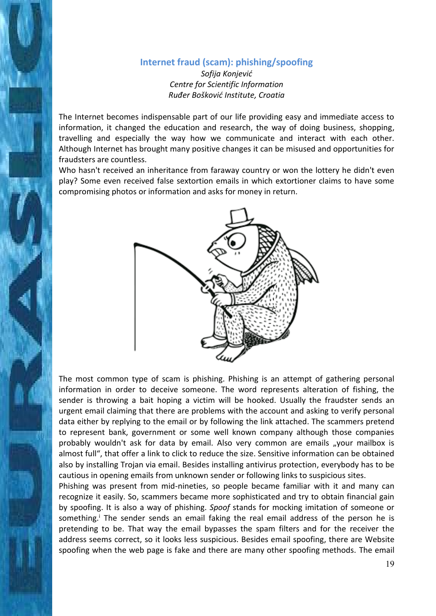## **Internet fraud (scam): phishing/spoofing**

*Sofija Konjević Centre for Scientific Information Ruđer Bošković Institute, Croatia* 

The Internet becomes indispensable part of our life providing easy and immediate access to information, it changed the education and research, the way of doing business, shopping, travelling and especially the way how we communicate and interact with each other. Although Internet has brought many positive changes it can be misused and opportunities for fraudsters are countless.

Who hasn't received an inheritance from faraway country or won the lottery he didn't even play? Some even received false sextortion emails in which extortioner claims to have some compromising photos or information and asks for money in return.



The most common type of scam is phishing. Phishing is an attempt of gathering personal information in order to deceive someone. The word represents alteration of fishing, the sender is throwing a bait hoping a victim will be hooked. Usually the fraudster sends an urgent email claiming that there are problems with the account and asking to verify personal data either by replying to the email or by following the link attached. The scammers pretend to represent bank, government or some well known company although those companies probably wouldn't ask for data by email. Also very common are emails "your mailbox is almost full", that offer a link to click to reduce the size. Sensitive information can be obtained also by installing Trojan via email. Besides installing antivirus protection, everybody has to be cautious in opening emails from unknown sender or following links to suspicious sites.

Phishing was present from mid-nineties, so people became familiar with it and many can recognize it easily. So, scammers became more sophisticated and try to obtain financial gain by spoofing. It is also a way of phishing. *Spoof* stands for mocking imitation of someone or something.<sup>i</sup> The sender sends an email faking the real email address of the person he is pretending to be. That way the email bypasses the spam filters and for the receiver the address seems correct, so it looks less suspicious. Besides email spoofing, there are Website spoofing when the web page is fake and there are many other spoofing methods. The email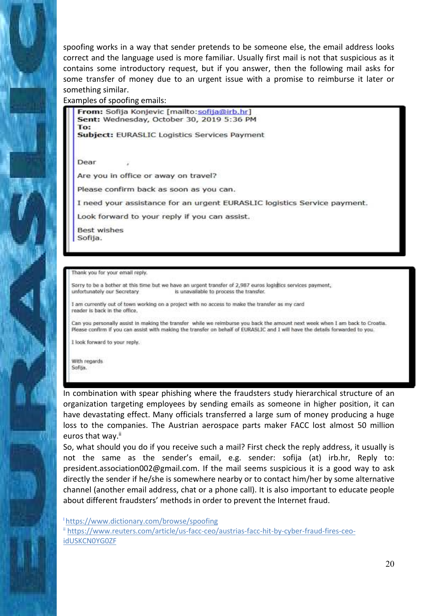spoofing works in a way that sender pretends to be someone else, the email address looks correct and the language used is more familiar. Usually first mail is not that suspicious as it contains some introductory request, but if you answer, then the following mail asks for some transfer of money due to an urgent issue with a promise to reimburse it later or something similar.

Examples of spoofing emails:

From: Sofija Konjevic [mailto:sofija@irb.hr] Sent: Wednesday, October 30, 2019 5:36 PM To:

**Subject: EURASLIC Logistics Services Payment** 

Dear

Are you in office or away on travel?

Please confirm back as soon as you can.

I need your assistance for an urgent EURASLIC logistics Service payment.

Look forward to your reply if you can assist.

**Best wishes** Sofija.

Thank you for your email reply.

Sorry to be a bother at this time but we have an urgent transfer of 2,987 curos logistics services payment, unfortunately our Secretary is unavailable to process the transfer.

I am currently out of town working on a project with no access to make the transfer as my card reader is back in the office.

Can you personally assist in making the transfer while we reimburse you back the amount next week when I am back to Croatia. Please confirm if you can assist with making the transfer on behalf of EURASLIC and I will have the details forwarded to you.

I look forward to your reply.

With regards Sofilia.

In combination with spear phishing where the fraudsters study hierarchical structure of an organization targeting employees by sending emails as someone in higher position, it can have devastating effect. Many officials transferred a large sum of money producing a huge loss to the companies. The Austrian aerospace parts maker FACC lost almost 50 million euros that way.<sup>ii</sup>

So, what should you do if you receive such a mail? First check the reply address, it usually is not the same as the sender's email, e.g. sender: sofija (at) irb.hr, Reply to: president.association002@gmail.com. If the mail seems suspicious it is a good way to ask directly the sender if he/she is somewhere nearby or to contact him/her by some alternative channel (another email address, chat or a phone call). It is also important to educate people about different fraudsters' methods in order to prevent the Internet fraud.

<sup>I</sup><https://www.dictionary.com/browse/spoofing>

ii [https://www.reuters.com/article/us-facc-ceo/austrias-facc-hit-by-cyber-fraud-fires-ceo](https://www.reuters.com/article/us-facc-ceo/austrias-facc-hit-by-cyber-fraud-fires-ceo-idUSKCN0YG0ZF)[idUSKCN0YG0ZF](https://www.reuters.com/article/us-facc-ceo/austrias-facc-hit-by-cyber-fraud-fires-ceo-idUSKCN0YG0ZF)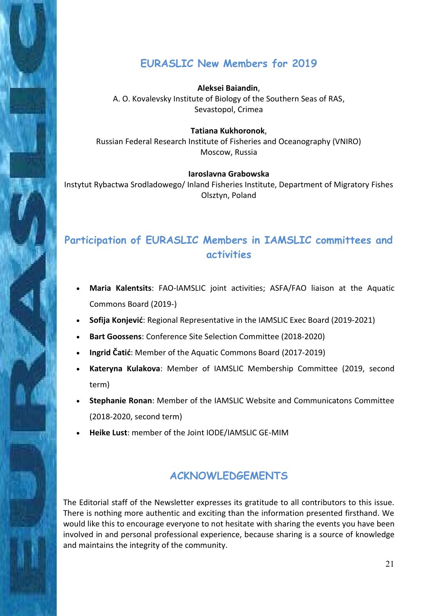# **EURASLIC New Members for 2019**

**Aleksei Baiandin**, A. O. Kovalevsky Institute of Biology of the Southern Seas of RAS, Sevastopol, Crimea

**Tatiana Kukhoronok**, Russian Federal Research Institute of Fisheries and Oceanography (VNIRO) Moscow, Russia

### **Iaroslavna Grabowska**

Instytut Rybactwa Srodladowego/ Inland Fisheries Institute, Department of Migratory Fishes Olsztyn, Poland

# **Participation of EURASLIC Members in IAMSLIC committees and activities**

- **Maria Kalentsits**: FAO-IAMSLIC joint activities; ASFA/FAO liaison at the Aquatic Commons Board (2019-)
- **Sofija Konjević**: Regional Representative in the IAMSLIC Exec Board (2019-2021)
- **Bart Goossens**: Conference Site Selection Committee (2018-2020)
- **Ingrid Čatić**: Member of the Aquatic Commons Board (2017-2019)
- **Kateryna Kulakova**: Member of IAMSLIC Membership Committee (2019, second term)
- **Stephanie Ronan**: Member of the IAMSLIC Website and Communicatons Committee (2018-2020, second term)
- **Heike Lust**: member of the Joint IODE/IAMSLIC GE-MIM

# **ACKNOWLEDGEMENTS**

The Editorial staff of the Newsletter expresses its gratitude to all contributors to this issue. There is nothing more authentic and exciting than the information presented firsthand. We would like this to encourage everyone to not hesitate with sharing the events you have been involved in and personal professional experience, because sharing is a source of knowledge and maintains the integrity of the community.